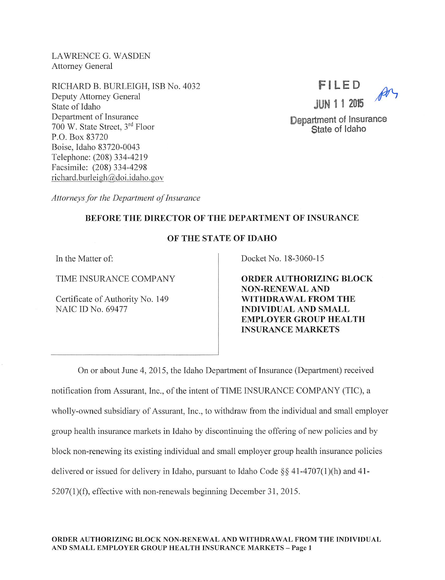LAWRENCE G. WASDEN Attorney General

RICHARD B. BURLEIGH, ISB No. 4032 Deputy Attorney General State of Idaho Department of Insurance 700 W. State Street, 3<sup>rd</sup> Floor P.O.Box 83720 Boise, Idaho 83720-0043 Telephone: (208) 334-4219 Facsimile: (208) 334-4298 richard.burleigh@doi.idaho.gov



Department of Insurance State of Idaho

Attorneys for the Department of Insurance

## BEFORE THE DIRECTOR OF THE DEPARTMENT OF INSURANCE

## OF THE STATE OF IDAHO

In the Matter of:

TIME INSURANCE COMPANY

Certificate of Authority No. 149 NAIC ID No. 69477

Docket No. 18-3060-15

ORDER AUTHORIZING BLOCK NON-RENEWAL AND WITHDRAWAL FROM THE INDIVIDUAL AND SMALL EMPLOYER GROUP HEALTH INSURANCE MARKETS

On or about June 4, 2015, the Idaho Department of Insurance (Department) received notification from Assurant, Inc., of the intent of TIME INSURANCE COMPANY (TIC), a wholly-owned subsidiary of Assurant, Inc., to withdraw from the individual and small employer group health insurance markets in Idaho by discontinuing the offering of new policies and by block non-renewing its existing individual and small employer group health insurance policies delivered or issued for delivery in Idaho, pursuant to Idaho Code  $\S$ § 41-4707(1)(h) and 41-5207(l)(f), effective with non-renewals beginning December 31, 2015.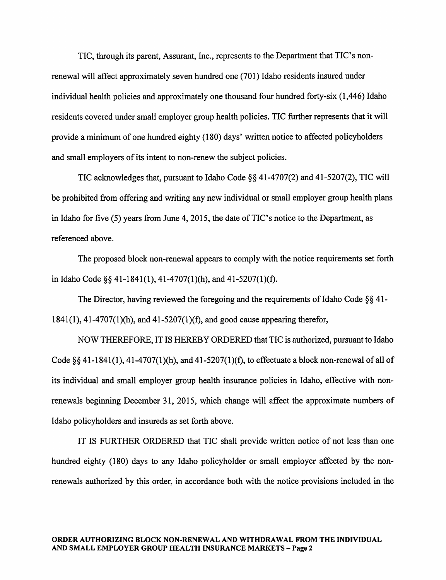TIC, through its parent, Assurant, Inc., represents to the Department that TIC's nonrenewal will affect approximately seven hundred one (701) Idaho residents insured under individual health policies and approximately one thousand four hundred forty-six (1,446) Idaho residents covered under small employer group health policies. TIC further represents that it will provide a minimum of one hundred eighty (180) days' written notice to affected policyholders and small employers of its intent to non-renew the subject policies.

TIC acknowledges that, pursuant to Idaho Code §§ 41-4707(2) and 41-5207(2), TIC will be prohibited from offering and writing any new individual or small employer group health plans in Idaho for five  $(5)$  years from June 4, 2015, the date of TIC's notice to the Department, as referenced above.

The proposed block non-renewal appears to comply with the notice requirements set forth in Idaho Code §§ 41-1841(1), 41-4707(1)(h), and 41-5207(1)(f).

The Director, having reviewed the foregoing and the requirements of Idaho Code  $\S$ §41-1841(1), 41-4707(l)(h), and 41-5207(1 )(f), and good cause appearing therefor,

NOW THEREFORE, IT IS HEREBY ORDERED that TIC is authorized, pursuant to Idaho Code  $\S$ §41-1841(1), 41-4707(1)(h), and 41-5207(1)(f), to effectuate a block non-renewal of all of its individual and small employer group health insurance policies in Idaho, effective with nonrenewals beginning December 31, 2015, which change will affect the approximate numbers of Idaho policyholders and insureds as set forth above.

IT IS FURTHER ORDERED that TIC shall provide written notice of not less than one hundred eighty (180) days to any Idaho policyholder or small employer affected by the nonrenewals authorized by this order, in accordance both with the notice provisions included in the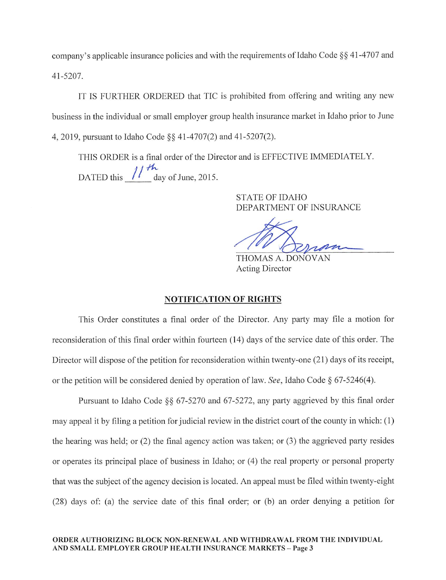company's applicable insurance policies and with the requirements of Idaho Code  $\S$ § 41-4707 and 41-5207.

IT IS FURTHER ORDERED that TIC is prohibited from offering and writing any new business in the individual or small employer group health insurance market in Idaho prior to June 4, 2019, pursuant to Idaho Code §§ 41-4707(2) and 41-5207(2).

THIS ORDER is a final order of the Director and is EFFECTIVE IMMEDIATELY. DATED this  $\frac{1}{4}$  day of June, 2015.

> STATE OF IDAHO DEPARTMENT OF INSURANCE

THOMAS A. DONOVAN Acting Director

## NOTIFICATION OF RIGHTS

This Order constitutes a final order of the Director. Any party may file a motion for reconsideration of this final order within fourteen (14) days of the service date of this order. The Director will dispose of the petition for reconsideration within twenty-one (21) days of its receipt, or the petition will be considered denied by operation of law. See, Idaho Code  $\S$  67-5246(4).

Pursuant to Idaho Code §§ 67-5270 and 67-5272, any party aggrieved by this final order may appeal it by filing a petition for judicial review in the district court of the county in which:  $(1)$ the hearing was held; or (2) the final agency action was taken; or (3) the aggrieved party resides or operates its principal place of business in Idaho; or (4) the real property or personal property that was the subject of the agency decision is located. An appeal must be filed within twenty-eight (28) days of: (a) the service date of this final order; or (b) an order denying a petition for